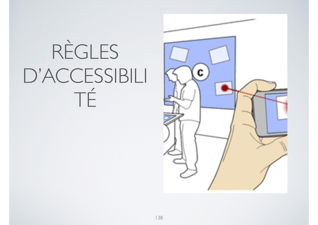# RÈGLES D'ACCESSIBILI TÉ

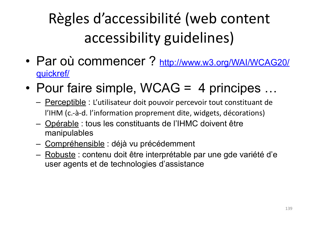Règles d'accessibilité (web content accessibility guidelines)

- Par où commencer ? http://www.w3.org/WAI/WCAG20/ quickref/
- Pour faire simple, WCAG = 4 principes ...
	- Perceptible : L'utilisateur doit pouvoir percevoir tout constituant de l'IHM (c.-à-d. l'information proprement dite, widgets, décorations)
	- Opérable : tous les constituants de l'IHMC doivent être manipulables
	- Compréhensible : déjà vu précédemment
	- Robuste : contenu doit être interprétable par une gde variété d'e user agents et de technologies d'assistance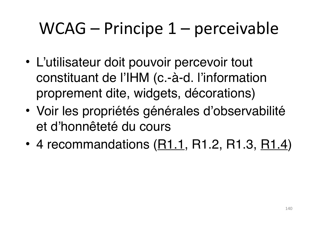## $WCAG - Principe$  1 – perceivable

- L'utilisateur doit pouvoir percevoir tout constituant de l'IHM (c.-à-d. l'information proprement dite, widgets, décorations)
- Voir les propriétés générales d'observabilité et d'honnêteté du cours
- 4 recommandations  $(R1.1, R1.2, R1.3, R1.4)$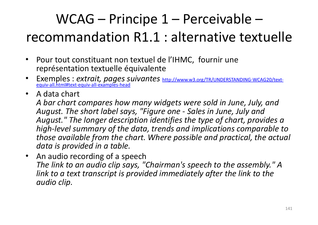#### $WCAG - Principe$  1 – Perceivable – recommandation R1.1 : alternative textuelle

- Pour tout constituant non textuel de l'IHMC, fournir une représentation textuelle équivalente
- Exemples : extrait, pages suivantes http://www.w3.org/TR/UNDERSTANDING-WCAG20/textequiv-all.html#text-equiv-all-examples-head
- A data chart

A bar chart compares how many widgets were sold in June, July, and August. The short label says, "Figure one - Sales in June, July and August." The longer description identifies the type of chart, provides a high-level summary of the data, trends and *implications* comparable to *those available from the chart. Where possible and practical, the actual* data *is* provided in a table.

• An audio recording of a speech *The link to an audio clip says, "Chairman's speech to the assembly."* A *link* to a text transcript is provided immediately after the link to the *audio clip.*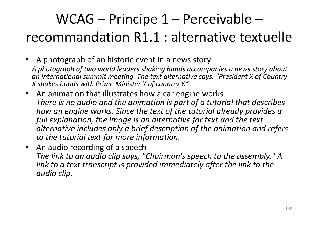#### $WCAG - Principe 1 - Perceivable$ recommandation R1.1 : alternative textuelle

• A photograph of an historic event in a news story A photograph of two world leaders shaking hands accompanies a news story about an international summit meeting. The text alternative says, "President X of Country *X shakes hands with Prime Minister Y of country Y."* 

- An animation that illustrates how a car engine works *There is no audio and the animation is part of a tutorial that describes* how an engine works. Since the text of the tutorial already provides a full explanation, the image is an alternative for text and the text alternative includes only a brief description of the animation and refers to the tutorial text for more information.
- An audio recording of a speech The link to an audio clip says, "Chairman's speech to the assembly." A *link* to a text transcript is provided immediately after the link to the *audio clip.*